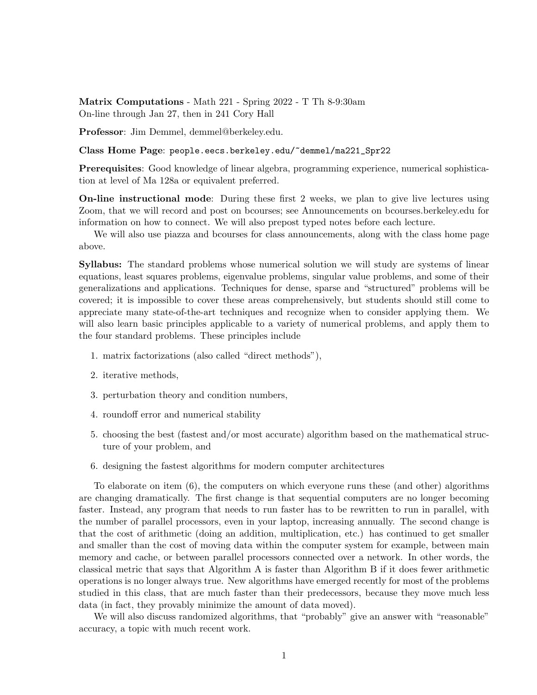Matrix Computations - Math 221 - Spring 2022 - T Th 8-9:30am On-line through Jan 27, then in 241 Cory Hall

Professor: Jim Demmel, demmel@berkeley.edu.

Class Home Page: people.eecs.berkeley.edu/~demmel/ma221\_Spr22

Prerequisites: Good knowledge of linear algebra, programming experience, numerical sophistication at level of Ma 128a or equivalent preferred.

On-line instructional mode: During these first 2 weeks, we plan to give live lectures using Zoom, that we will record and post on bcourses; see Announcements on bcourses.berkeley.edu for information on how to connect. We will also prepost typed notes before each lecture.

We will also use piazza and bcourses for class announcements, along with the class home page above.

Syllabus: The standard problems whose numerical solution we will study are systems of linear equations, least squares problems, eigenvalue problems, singular value problems, and some of their generalizations and applications. Techniques for dense, sparse and "structured" problems will be covered; it is impossible to cover these areas comprehensively, but students should still come to appreciate many state-of-the-art techniques and recognize when to consider applying them. We will also learn basic principles applicable to a variety of numerical problems, and apply them to the four standard problems. These principles include

- 1. matrix factorizations (also called "direct methods"),
- 2. iterative methods,
- 3. perturbation theory and condition numbers,
- 4. roundoff error and numerical stability
- 5. choosing the best (fastest and/or most accurate) algorithm based on the mathematical structure of your problem, and
- 6. designing the fastest algorithms for modern computer architectures

To elaborate on item (6), the computers on which everyone runs these (and other) algorithms are changing dramatically. The first change is that sequential computers are no longer becoming faster. Instead, any program that needs to run faster has to be rewritten to run in parallel, with the number of parallel processors, even in your laptop, increasing annually. The second change is that the cost of arithmetic (doing an addition, multiplication, etc.) has continued to get smaller and smaller than the cost of moving data within the computer system for example, between main memory and cache, or between parallel processors connected over a network. In other words, the classical metric that says that Algorithm A is faster than Algorithm B if it does fewer arithmetic operations is no longer always true. New algorithms have emerged recently for most of the problems studied in this class, that are much faster than their predecessors, because they move much less data (in fact, they provably minimize the amount of data moved).

We will also discuss randomized algorithms, that "probably" give an answer with "reasonable" accuracy, a topic with much recent work.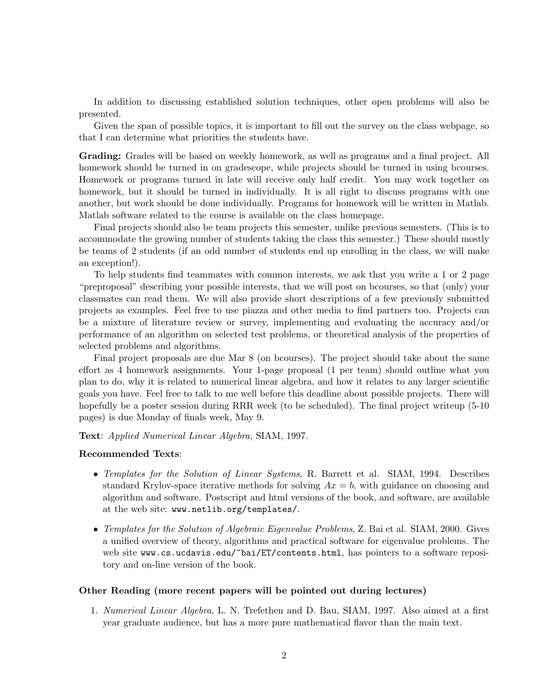In addition to discussing established solution techniques, other open problems will also be presented.

Given the span of possible topics, it is important to fill out the survey on the class webpage, so that I can determine what priorities the students have.

Grading: Grades will be based on weekly homework, as well as programs and a final project. All homework should be turned in on gradescope, while projects should be turned in using bcourses. Homework or programs turned in late will receive only half credit. You may work together on homework, but it should be turned in individually. It is all right to discuss programs with one another, but work should be done individually. Programs for homework will be written in Matlab. Matlab software related to the course is available on the class homepage.

Final projects should also be team projects this semester, unlike previous semesters. (This is to accommodate the growing number of students taking the class this semester.) These should mostly be teams of 2 students (if an odd number of students end up enrolling in the class, we will make an exception!).

To help students find teammates with common interests, we ask that you write a 1 or 2 page "preproposal" describing your possible interests, that we will post on bcourses, so that (only) your classmates can read them. We will also provide short descriptions of a few previously submitted projects as examples. Feel free to use piazza and other media to find partners too. Projects can be a mixture of literature review or survey, implementing and evaluating the accuracy and/or performance of an algorithm on selected test problems, or theoretical analysis of the properties of selected problems and algorithms.

Final project proposals are due Mar 8 (on bcourses). The project should take about the same effort as 4 homework assignments. Your 1-page proposal (1 per team) should outline what you plan to do, why it is related to numerical linear algebra, and how it relates to any larger scientific goals you have. Feel free to talk to me well before this deadline about possible projects. There will hopefully be a poster session during RRR week (to be scheduled). The final project writeup (5-10) pages) is due Monday of finals week, May 9.

Text: Applied Numerical Linear Algebra, SIAM, 1997.

## Recommended Texts:

- Templates for the Solution of Linear Systems, R. Barrett et al. SIAM, 1994. Describes standard Krylov-space iterative methods for solving  $Ax = b$ , with guidance on choosing and algorithm and software. Postscript and html versions of the book, and software, are available at the web site: www.netlib.org/templates/.
- Templates for the Solution of Algebraic Eigenvalue Problems, Z. Bai et al. SIAM, 2000. Gives a unified overview of theory, algorithms and practical software for eigenvalue problems. The web site www.cs.ucdavis.edu/~bai/ET/contents.html, has pointers to a software repository and on-line version of the book.

## Other Reading (more recent papers will be pointed out during lectures)

1. Numerical Linear Algebra, L. N. Trefethen and D. Bau, SIAM, 1997. Also aimed at a first year graduate audience, but has a more pure mathematical flavor than the main text.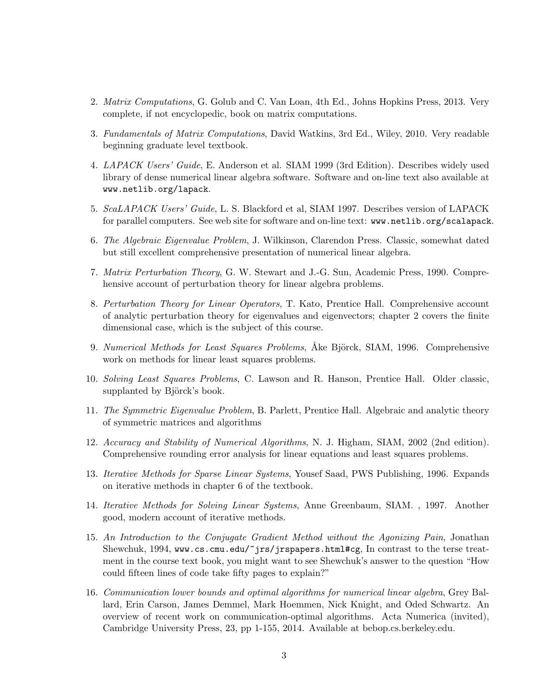- 2. Matrix Computations, G. Golub and C. Van Loan, 4th Ed., Johns Hopkins Press, 2013. Very complete, if not encyclopedic, book on matrix computations.
- 3. Fundamentals of Matrix Computations, David Watkins, 3rd Ed., Wiley, 2010. Very readable beginning graduate level textbook.
- 4. LAPACK Users' Guide, E. Anderson et al. SIAM 1999 (3rd Edition). Describes widely used library of dense numerical linear algebra software. Software and on-line text also available at www.netlib.org/lapack.
- 5. ScaLAPACK Users' Guide, L. S. Blackford et al, SIAM 1997. Describes version of LAPACK for parallel computers. See web site for software and on-line text: www.netlib.org/scalapack.
- 6. The Algebraic Eigenvalue Problem, J. Wilkinson, Clarendon Press. Classic, somewhat dated but still excellent comprehensive presentation of numerical linear algebra.
- 7. Matrix Perturbation Theory, G. W. Stewart and J.-G. Sun, Academic Press, 1990. Comprehensive account of perturbation theory for linear algebra problems.
- 8. Perturbation Theory for Linear Operators, T. Kato, Prentice Hall. Comprehensive account of analytic perturbation theory for eigenvalues and eigenvectors; chapter 2 covers the finite dimensional case, which is the subject of this course.
- 9. Numerical Methods for Least Squares Problems, Åke Björck, SIAM, 1996. Comprehensive work on methods for linear least squares problems.
- 10. Solving Least Squares Problems, C. Lawson and R. Hanson, Prentice Hall. Older classic, supplanted by Björck's book.
- 11. The Symmetric Eigenvalue Problem, B. Parlett, Prentice Hall. Algebraic and analytic theory of symmetric matrices and algorithms
- 12. Accuracy and Stability of Numerical Algorithms, N. J. Higham, SIAM, 2002 (2nd edition). Comprehensive rounding error analysis for linear equations and least squares problems.
- 13. Iterative Methods for Sparse Linear Systems, Yousef Saad, PWS Publishing, 1996. Expands on iterative methods in chapter 6 of the textbook.
- 14. Iterative Methods for Solving Linear Systems, Anne Greenbaum, SIAM. , 1997. Another good, modern account of iterative methods.
- 15. An Introduction to the Conjugate Gradient Method without the Agonizing Pain, Jonathan Shewchuk, 1994, www.cs.cmu.edu/~jrs/jrspapers.html#cg, In contrast to the terse treatment in the course text book, you might want to see Shewchuk's answer to the question "How could fifteen lines of code take fifty pages to explain?"
- 16. Communication lower bounds and optimal algorithms for numerical linear algebra, Grey Ballard, Erin Carson, James Demmel, Mark Hoemmen, Nick Knight, and Oded Schwartz. An overview of recent work on communication-optimal algorithms. Acta Numerica (invited), Cambridge University Press, 23, pp 1-155, 2014. Available at bebop.cs.berkeley.edu.